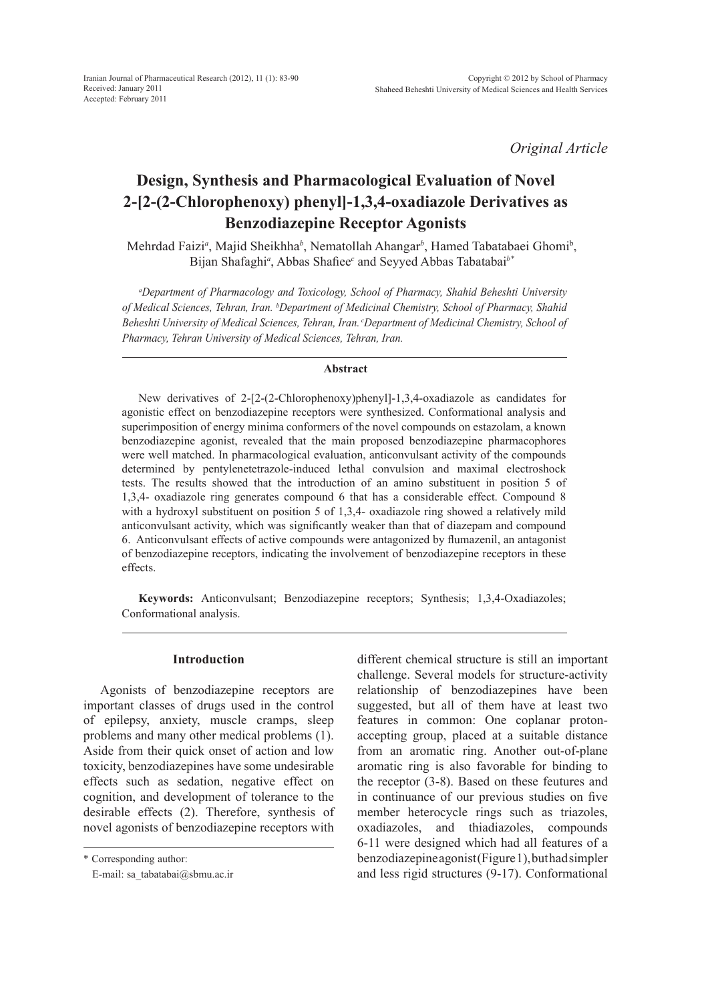*Original Article*

# **Design, Synthesis and Pharmacological Evaluation of Novel 2-[2-(2-Chlorophenoxy) phenyl]-1,3,4-oxadiazole Derivatives as Benzodiazepine Receptor Agonists**

Mehrdad Faizi*<sup>a</sup>* , Majid Sheikhha*<sup>b</sup>* , Nematollah Ahangar*<sup>b</sup>* , Hamed Tabatabaei Ghomib , Bijan Shafaghi*<sup>a</sup>* , Abbas Shafiee*<sup>c</sup>* and Seyyed Abbas Tabatabai*b\**

*a Department of Pharmacology and Toxicology, School of Pharmacy, Shahid Beheshti University of Medical Sciences, Tehran, Iran. <sup>b</sup> Department of Medicinal Chemistry, School of Pharmacy, Shahid Beheshti University of Medical Sciences, Tehran, Iran. cDepartment of Medicinal Chemistry, School of Pharmacy, Tehran University of Medical Sciences, Tehran, Iran.*

#### **Abstract**

New derivatives of 2-[2-(2-Chlorophenoxy)phenyl]-1,3,4-oxadiazole as candidates for agonistic effect on benzodiazepine receptors were synthesized. Conformational analysis and superimposition of energy minima conformers of the novel compounds on estazolam, a known benzodiazepine agonist, revealed that the main proposed benzodiazepine pharmacophores were well matched. In pharmacological evaluation, anticonvulsant activity of the compounds determined by pentylenetetrazole-induced lethal convulsion and maximal electroshock tests. The results showed that the introduction of an amino substituent in position 5 of 1,3,4- oxadiazole ring generates compound 6 that has a considerable effect. Compound 8 with a hydroxyl substituent on position 5 of 1,3,4- oxadiazole ring showed a relatively mild anticonvulsant activity, which was significantly weaker than that of diazepam and compound 6. Anticonvulsant effects of active compounds were antagonized by flumazenil, an antagonist of benzodiazepine receptors, indicating the involvement of benzodiazepine receptors in these effects.

**Keywords:** Anticonvulsant; Benzodiazepine receptors; Synthesis; 1,3,4-Oxadiazoles; Conformational analysis.

#### **Introduction**

Agonists of benzodiazepine receptors are important classes of drugs used in the control of epilepsy, anxiety, muscle cramps, sleep problems and many other medical problems (1). Aside from their quick onset of action and low toxicity, benzodiazepines have some undesirable effects such as sedation, negative effect on cognition, and development of tolerance to the desirable effects (2). Therefore, synthesis of novel agonists of benzodiazepine receptors with

\* Corresponding author:

E-mail: sa\_tabatabai@sbmu.ac.ir

different chemical structure is still an important challenge. Several models for structure-activity relationship of benzodiazepines have been suggested, but all of them have at least two features in common: One coplanar protonaccepting group, placed at a suitable distance from an aromatic ring. Another out-of-plane aromatic ring is also favorable for binding to the receptor (3-8). Based on these feutures and in continuance of our previous studies on five member heterocycle rings such as triazoles, oxadiazoles, and thiadiazoles, compounds 6-11 were designed which had all features of a benzodiazepine agonist (Figure 1), but had simpler and less rigid structures (9-17). Conformational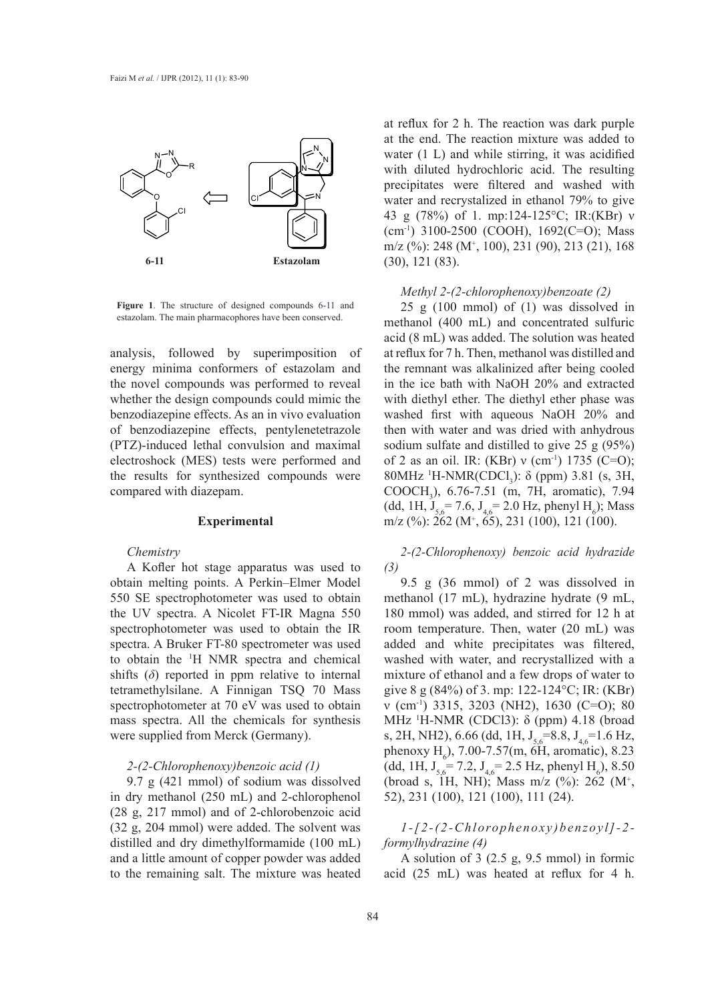

**Figure 1**. The structure of designed compounds 6-11 and estazolam. The main pharmacophores have been conserved.

analysis, followed by superimposition of energy minima conformers of estazolam and the novel compounds was performed to reveal whether the design compounds could mimic the benzodiazepine effects. As an in vivo evaluation **Experimental**  of benzodiazepine effects, pentylenetetrazole (PTZ)-induced lethal convulsion and maximal electroshock (MES) tests were performed and the results for synthesized compounds were compared with diazepam. COOCI

#### **Experimental**

#### *Chemistry*

ain melting points. A Perkin-Elmer Model  $\qquad$  9.5 g (36 mmol) of 2 was dissolved in A Kofler hot stage apparatus was used to obtain melting points. A Perkin–Elmer Model 550 SE spectrophotometer was used to obtain the UV spectra. A Nicolet FT-IR Magna 550 spectrophotometer was used to obtain the IR spectra. A Bruker FT-80 spectrometer was used to obtain the <sup>1</sup>H NMR spectra and chemical shifts  $(\delta)$  reported in ppm relative to internal tetramethylsilane. A Finnigan TSQ 70 Mass *Methyl 2-(2-chlorophenoxy)benzoate (2)* spectrophotometer at 70 eV was used to obtain mass spectra. All the chemicals for synthesis were supplied from Merck (Germany).

### *2-(2-Chlorophenoxy)benzoic acid (1)*

9.7 g  $(421 \text{ mmol})$  of sodium was dissolved in dry methanol (250 mL) and 2-chlorophenol  $(28 \text{ g}, 217 \text{ mmol})$  and of 2-chlorobenzoic acid (32 g, 204 mmol) were added. The solvent was distilled and dry dimethylformamide (100 mL) formylhydrazine (4) and a little amount of copper powder was added to the remaining salt. The mixture was heated

at reflux for 2 h. The reaction was dark purple at the end. The reaction mixture was added to water (1 L) and while stirring, it was acidified with diluted hydrochloric acid. The resulting precipitates were filtered and washed with water and recrystalized in ethanol 79% to give 43 g (78%) of 1. mp:124-125°C; IR:(KBr) ν  $(cm<sup>-1</sup>)$  3100-2500 (COOH), 1692(C=O); Mass m/z (%): 248 (M+ , 100), 231 (90), 213 (21), 168 (30), 121 (83).

#### *Methyl 2-(2-chlorophenoxy)benzoate (2)*

igure 1. The structure of designed compounds 6-11 and 25 g (100 mmol) of (1) was dissolved in methanol (400 mL) and concentrated sulfuric acid (8 mL) was added. The solution was heated at reflux for 7 h. Then, methanol was distilled and the remnant was alkalinized after being cooled in the ice bath with NaOH 20% and extracted with diethyl ether. The diethyl ether phase was washed first with aqueous NaOH 20% and then with water and was dried with anhydrous sodium sulfate and distilled to give 25 g (95%) of 2 as an oil. IR: (KBr)  $v$  (cm<sup>-1</sup>) 1735 (C=O); results for synthesized compounds were 80MHz <sup>1</sup>H-NMR(CDCl<sub>3</sub>):  $\delta$  (ppm) 3.81 (s, 3H, results for synthesized compounds were committed from  $COOCH<sub>3</sub>$ ),  $6.76-7.51$  (m, 7H, aromatic), 7.94 (dd, 1H,  $J_{5,6} = 7.6$ ,  $J_{4,6} = 2.0$  Hz, phenyl H<sub>6</sub>); Mass **Experimental**  $m/z$  (%): 262 (M<sup>+</sup>, 65), 231 (100), 121 (100).  $\text{H}_{3}$ , 0.70-7.31 (iii, 711, aromanc), 7.94

> *2-(2-Chlorophenoxy) benzoic acid hydrazide (3)*

Eq. 2. The sum of the solvent was used to obtain the solvent graded (17 mL), hydrazine hydrate (9 mL, UV spectra. A Nicolet FT-IR Magna 550 180 mmol) was added, and stirred for 12 h at ctrophotometer was used to obtain the IR room temperature. Then, water (20 mL) was ctra. A Bruker FT-80 spectrometer was used added and white precipitates was filtered, nd chemical washed with water, and recrystallized with a mixture of ethanol and a few drops of water to give 8 g (84%) of 3. mp: 122-124°C; IR: (KBr) etrophotometer at 70 eV was used to obtain  $v$  (cm<sup>-1</sup>) 3315, 3203 (NH2), 1630 (C=O); 80 ss spectra. All the chemicals for synthesis MHz  $^1$ H-NMR (CDCl3):  $\delta$  (ppm) 4.18 (broad e supplied from Merck (Germany).  $\text{s, 2H, NH2}, 6.66 \text{ (dd, 1H, J}_{5,6}=8.8, J_{4,6}=1.6 \text{ Hz},$ phenoxy H<sub>6</sub>), 7.00-7.57(m, 6H, aromatic), 8.23 2-(2-Chlorophenoxy)benzoic acid (1) (dd, 1H,  $J_{5,6}$  = 7.2,  $J_{4,6}$  = 2.5 Hz, phenyl H<sub>6</sub>), 8.50 (broad s, 1H, NH); Mass m/z (%): 262 (M+ , 52), 231 (100), 121 (100), 111 (24). a spectrophotometer was used to obtain  $\frac{1}{2}$  heated  $\frac{1}{2}$  h. The mixture in  $\frac{1}{2}$  h. ctrophotometer at 70 eV was used to obtain  $V$  (cm  $T$ ) 5515, 5205 (NH2), 1650 (C–O), 80

g, 204 mmol) were added. The solvent was  $1 - [2-(2-Chlorophenoxy)benzoyl] - 2$ *formylhydrazine (4)*

> A solution of 3 (2.5 g, 9.5 mmol) in formic acid (25 mL) was heated at reflux for 4 h.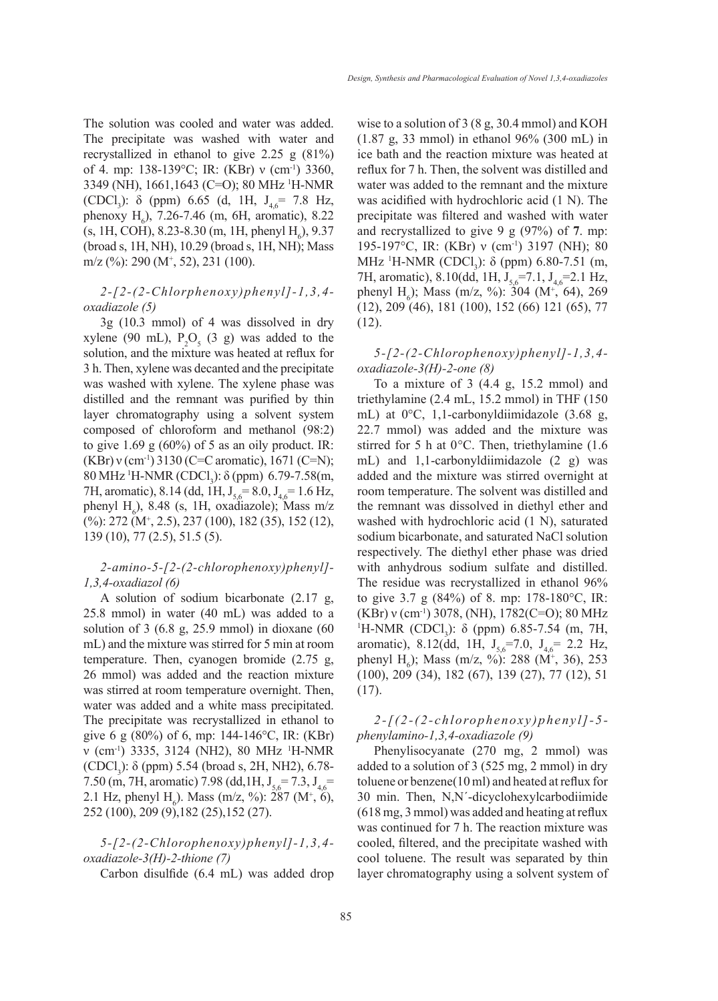The solution was cooled and water was added. The precipitate was washed with water and recrystallized in ethanol to give 2.25 g (81%) of 4. mp: 138-139°C; IR: (KBr) ν (cm<sup>-1</sup>) 3360, 3349 (NH), 1661,1643 (C=O); 80 MHz 1 H-NMR (CDCl<sub>3</sub>):  $\delta$  (ppm) 6.65 (d, 1H, J<sub>4,6</sub> = 7.8 Hz, phenoxy  $H_6$ ), 7.26-7.46 (m, 6H, aromatic), 8.22  $(s, 1H, COH), 8.23-8.30$  (m, 1H, phenyl  $H_6$ ), 9.37 (broad s, 1H, NH), 10.29 (broad s, 1H, NH); Mass m/z (%): 290 (M+ , 52), 231 (100).

# *2-[2-(2-Chlorphenoxy)phenyl]-1,3,4 oxadiazole (5)*

3g (10.3 mmol) of 4 was dissolved in dry xylene (90 mL),  $P_2O_5$  (3 g) was added to the solution, and the mixture was heated at reflux for 3 h. Then, xylene was decanted and the precipitate was washed with xylene. The xylene phase was distilled and the remnant was purified by thin layer chromatography using a solvent system composed of chloroform and methanol (98:2) to give 1.69 g  $(60\%)$  of 5 as an oily product. IR: (KBr) ν (cm-1) 3130 (C=C aromatic), 1671 (C=N); 80 MHz <sup>1</sup>H-NMR (CDCl<sub>3</sub>): δ (ppm) 6.79-7.58(m, 7H, aromatic), 8.14 (dd, 1H,  $J_{5.6}$  = 8.0,  $J_{4.6}$  = 1.6 Hz, phenyl  $H_6$ ), 8.48 (s, 1H, oxadiazole); Mass m/z (%): 272 (M+ , 2.5), 237 (100), 182 (35), 152 (12), 139 (10), 77 (2.5), 51.5 (5).

# *2-amino-5-[2-(2-chlorophenoxy)phenyl]- 1,3,4-oxadiazol (6)*

A solution of sodium bicarbonate (2.17 g, 25.8 mmol) in water (40 mL) was added to a solution of  $3$  (6.8 g, 25.9 mmol) in dioxane (60 mL) and the mixture was stirred for 5 min at room temperature. Then, cyanogen bromide (2.75 g, 26 mmol) was added and the reaction mixture was stirred at room temperature overnight. Then, water was added and a white mass precipitated. The precipitate was recrystallized in ethanol to give 6 g (80%) of 6, mp: 144-146°C, IR: (KBr) ν (cm-1) 3335, 3124 (NH2), 80 MHz 1 H-NMR (CDCl<sub>3</sub>):  $\delta$  (ppm) 5.54 (broad s, 2H, NH2), 6.78-7.50 (m, 7H, aromatic) 7.98 (dd, 1H,  $J_{5.6}$ = 7.3,  $J_{4.6}$ = 2.1 Hz, phenyl H<sub>6</sub>). Mass (m/z, %): 287 (M<sup>+</sup>, 6), 252 (100), 209 (9),182 (25),152 (27).

# *5-[2-(2-Chlorophenoxy)phenyl]-1,3,4 oxadiazole-3(H)-2-thione (7)*

Carbon disulfide (6.4 mL) was added drop

wise to a solution of 3 (8 g, 30.4 mmol) and KOH (1.87 g, 33 mmol) in ethanol 96% (300 mL) in ice bath and the reaction mixture was heated at reflux for 7 h. Then, the solvent was distilled and water was added to the remnant and the mixture was acidified with hydrochloric acid (1 N). The precipitate was filtered and washed with water and recrystallized to give 9 g (97%) of **7**. mp: 195-197°C, IR: (KBr) ν (cm-1) 3197 (NH); 80 MHz <sup>1</sup>H-NMR (CDCl<sub>3</sub>): δ (ppm) 6.80-7.51 (m, 7H, aromatic), 8.10(dd, 1H,  $J_{5.6}$ =7.1,  $J_{4.6}$ =2.1 Hz, phenyl H<sub>6</sub>); Mass (m/z, %): 304 (M<sup>+</sup>, 64), 269 (12), 209 (46), 181 (100), 152 (66) 121 (65), 77 (12).

# *5-[2-(2-Chlorophenoxy)phenyl]-1,3,4 oxadiazole-3(H)-2-one (8)*

To a mixture of 3 (4.4 g, 15.2 mmol) and triethylamine (2.4 mL, 15.2 mmol) in THF (150 mL) at 0°C, 1,1-carbonyldiimidazole (3.68 g, 22.7 mmol) was added and the mixture was stirred for 5 h at 0°C. Then, triethylamine (1.6 mL) and 1,1-carbonyldiimidazole (2 g) was added and the mixture was stirred overnight at room temperature. The solvent was distilled and the remnant was dissolved in diethyl ether and washed with hydrochloric acid (1 N), saturated sodium bicarbonate, and saturated NaCl solution respectively. The diethyl ether phase was dried with anhydrous sodium sulfate and distilled. The residue was recrystallized in ethanol 96% to give 3.7 g (84%) of 8. mp: 178-180°C, IR:  $(KBr)$  v (cm<sup>-1</sup>) 3078, (NH), 1782(C=O); 80 MHz H-NMR (CDCl<sub>3</sub>): δ (ppm) 6.85-7.54 (m, 7H, aromatic), 8.12(dd, 1H,  $J_{5,6}$ =7.0,  $J_{4,6}$ = 2.2 Hz, phenyl H<sub>6</sub>); Mass (m/z, %): 288 (M<sup>+</sup>, 36), 253 (100), 209 (34), 182 (67), 139 (27), 77 (12), 51 (17).

# *2-[(2-(2-chlorophenoxy)phenyl]-5 phenylamino-1,3,4-oxadiazole (9)*

Phenylisocyanate (270 mg, 2 mmol) was added to a solution of 3 (525 mg, 2 mmol) in dry toluene or benzene(10 ml) and heated at reflux for 30 min. Then, N,N΄-dicyclohexylcarbodiimide (618 mg, 3 mmol) was added and heating at reflux was continued for 7 h. The reaction mixture was cooled, filtered, and the precipitate washed with cool toluene. The result was separated by thin layer chromatography using a solvent system of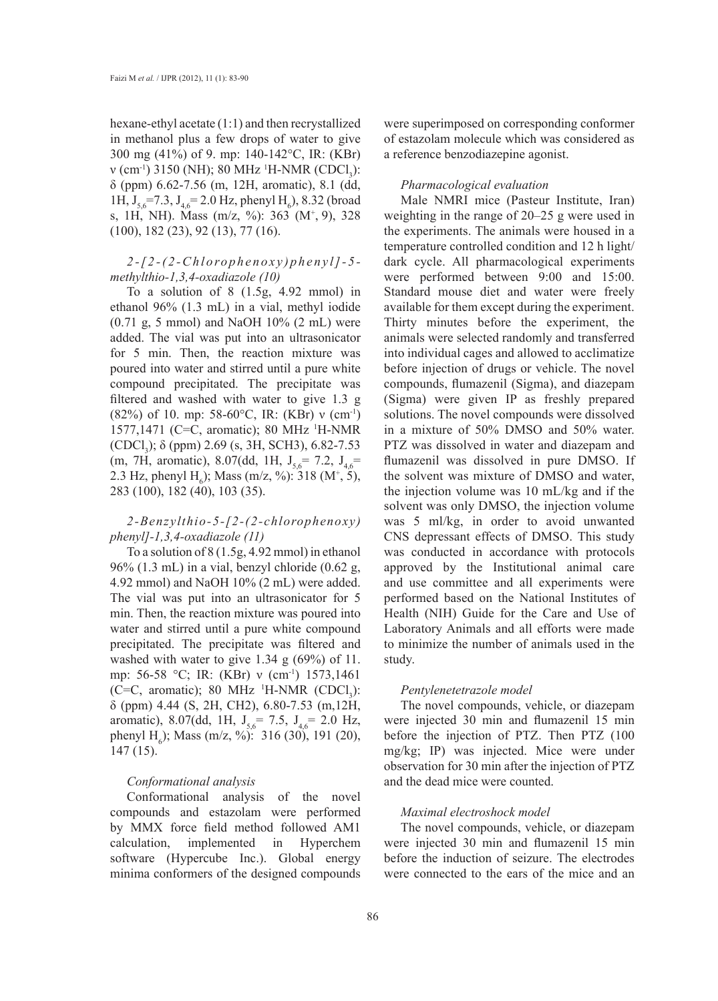hexane-ethyl acetate (1:1) and then recrystallized in methanol plus a few drops of water to give 300 mg (41%) of 9. mp: 140-142°C, IR: (KBr)  $v$  (cm<sup>-1</sup>) 3150 (NH); 80 MHz <sup>1</sup>H-NMR (CDCl<sub>3</sub>): δ (ppm) 6.62-7.56 (m, 12H, aromatic), 8.1 (dd, 1H,  $J_{5,6}$ =7.3,  $J_{4,6}$ =2.0 Hz, phenyl H<sub>6</sub>), 8.32 (broad s, 1H, NH). Mass (m/z, %): 363 (M+ , 9), 328 (100), 182 (23), 92 (13), 77 (16).

# *2-[2-(2-Chlorophenoxy)phenyl]-5 methylthio-1,3,4-oxadiazole (10)*

To a solution of 8 (1.5g, 4.92 mmol) in ethanol 96% (1.3 mL) in a vial, methyl iodide  $(0.71 \text{ g}, 5 \text{ mmol})$  and NaOH  $10\%$   $(2 \text{ mL})$  were added. The vial was put into an ultrasonicator for 5 min. Then, the reaction mixture was poured into water and stirred until a pure white compound precipitated. The precipitate was filtered and washed with water to give 1.3 g (82%) of 10. mp: 58-60°C, IR: (KBr) ν (cm-1) 1577,1471 (C=C, aromatic); 80 MHz 1 H-NMR (CDCl<sub>3</sub>);  $\delta$  (ppm) 2.69 (s, 3H, SCH3), 6.82-7.53 (m, 7H, aromatic), 8.07(dd, 1H,  $J_{5.6}$ = 7.2,  $J_{4.6}$ = 2.3 Hz, phenyl H<sub>6</sub>); Mass (m/z, %): 318 (M<sup>+</sup>, 5), 283 (100), 182 (40), 103 (35).

# *2-Benzylthio-5-[2-(2-chlorophenoxy) phenyl]-1,3,4-oxadiazole (11)*

To a solution of 8 (1.5g, 4.92 mmol) in ethanol 96% (1.3 mL) in a vial, benzyl chloride (0.62 g, 4.92 mmol) and NaOH 10% (2 mL) were added. The vial was put into an ultrasonicator for 5 min. Then, the reaction mixture was poured into water and stirred until a pure white compound precipitated. The precipitate was filtered and washed with water to give 1.34 g (69%) of 11. mp: 56-58 °C; IR: (KBr) ν (cm<sup>-1</sup>) 1573,1461 (C=C, aromatic); 80 MHz  $^1$ H-NMR (CDCl<sub>3</sub>): δ (ppm) 4.44 (S, 2H, CH2), 6.80-7.53 (m,12H, aromatic), 8.07(dd, 1H,  $J_{5.6}$  = 7.5,  $J_{4.6}$  = 2.0 Hz, phenyl H<sub>6</sub>); Mass (m/z, %): 316 (30), 191 (20), 147 (15).

#### *Conformational analysis*

Conformational analysis of the novel compounds and estazolam were performed by MMX force field method followed AM1 calculation, implemented in Hyperchem software (Hypercube Inc.). Global energy minima conformers of the designed compounds

were superimposed on corresponding conformer of estazolam molecule which was considered as a reference benzodiazepine agonist.

#### *Pharmacological evaluation*

Male NMRI mice (Pasteur Institute, Iran) weighting in the range of 20–25 g were used in the experiments. The animals were housed in a temperature controlled condition and 12 h light/ dark cycle. All pharmacological experiments were performed between 9:00 and 15:00. Standard mouse diet and water were freely available for them except during the experiment. Thirty minutes before the experiment, the animals were selected randomly and transferred into individual cages and allowed to acclimatize before injection of drugs or vehicle. The novel compounds, flumazenil (Sigma), and diazepam (Sigma) were given IP as freshly prepared solutions. The novel compounds were dissolved in a mixture of 50% DMSO and 50% water. PTZ was dissolved in water and diazepam and flumazenil was dissolved in pure DMSO. If the solvent was mixture of DMSO and water, the injection volume was 10 mL/kg and if the solvent was only DMSO, the injection volume was 5 ml/kg, in order to avoid unwanted CNS depressant effects of DMSO. This study was conducted in accordance with protocols approved by the Institutional animal care and use committee and all experiments were performed based on the National Institutes of Health (NIH) Guide for the Care and Use of Laboratory Animals and all efforts were made to minimize the number of animals used in the study.

#### *Pentylenetetrazole model*

The novel compounds, vehicle, or diazepam were injected 30 min and flumazenil 15 min before the injection of PTZ. Then PTZ (100 mg/kg; IP) was injected. Mice were under observation for 30 min after the injection of PTZ and the dead mice were counted.

# *Maximal electroshock model*

The novel compounds, vehicle, or diazepam were injected 30 min and flumazenil 15 min before the induction of seizure. The electrodes were connected to the ears of the mice and an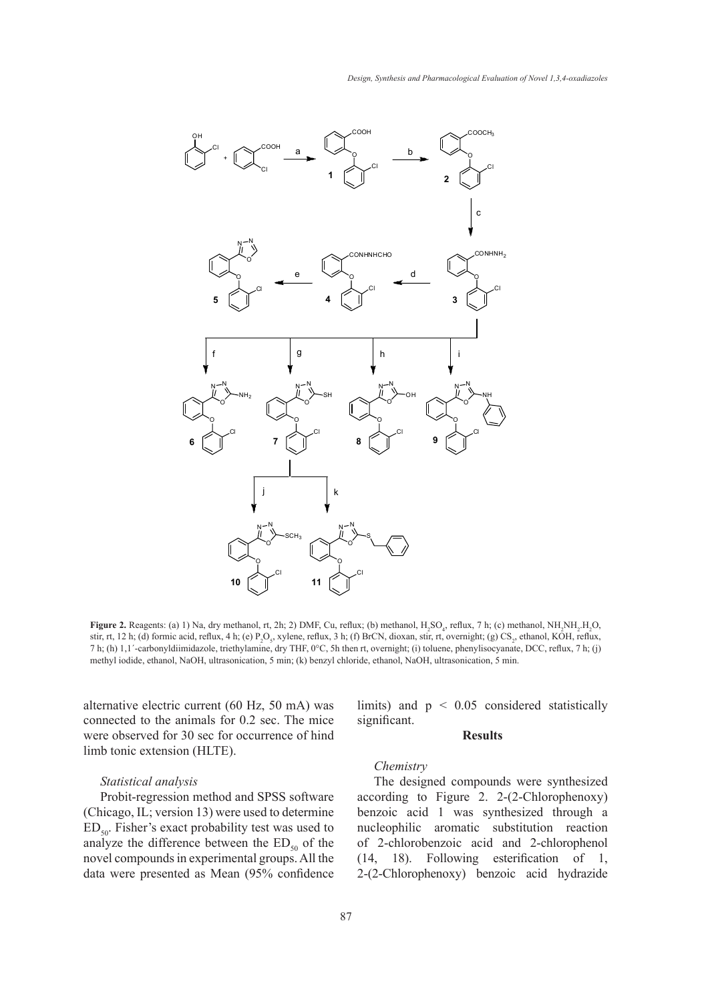

Figure 2. Reagents: (a) 1) Na, dry methanol, rt, 2h; 2) DMF, Cu, reflux; (b) methanol,  $H_2SO_4$ , reflux, 7 h; (c) methanol,  $NH_2NH_2H_2O$ , stir, rt, 12 h; (d) formic acid, reflux, 4 h; (e)  $P_2O_5$ , xylene, reflux, 3 h; (f) BrCN, dioxan, stir, rt, overnight; (g) CS<sub>2</sub>, ethanol, KOH, reflux, 7 h; (h)  $1,1$  -carbonyldiimidazole, triethylamine, dry THF,  $0^{\circ}$ C, 5h then rt, overnight; (i) toluene, phenylisocyanate, DCC, reflux, 7 h; (j) methyl iodide, ethanol, NaOH, ultrasonication, 5 min; (k) benzyl chloride, ethanol, NaOH, ultrasonication, 5 min.

alternative electric current (60 Hz, 50 mA) was connected to the animals for 0.2 sec. The mice were observed for 30 sec for occurrence of hind note estative of the synthesized molecules and estations of the synthesized molecules and estates limb tonic extension (HLTE). minimized using AM1 calculations. Figure 3 shows superior  $\frac{1}{n}$  the most potential in most potential in most point synthesized synthesized synthesized synthesized synthesized synthesized synthesized synthesized synthes

#### Statistical analysis

Probit-regression method and SPSS software (Chicago, IL; version 13) were used to determine  $ED_{50}$ . Fisher's exact probability test was used to analyze the difference between the  $ED_{50}$  of the novel compounds in experimental groups. All the data were presented as Mean (95% confidence limits) and  $p < 0.05$  considered statistically significant.

#### **Results**

#### *Chemistry*   $Chemistry$

The designed compounds were synthesized according to Figure 2. 2-(2-Chlorophenoxy) benzoic acid 1 was synthesized through a nucleophilic aromatic substitution reaction of 2-chlorobenzoic acid and 2-chlorophenol (14, 18). Following esterification of 1, 2-(2-Chlorophenoxy) benzoic acid hydrazide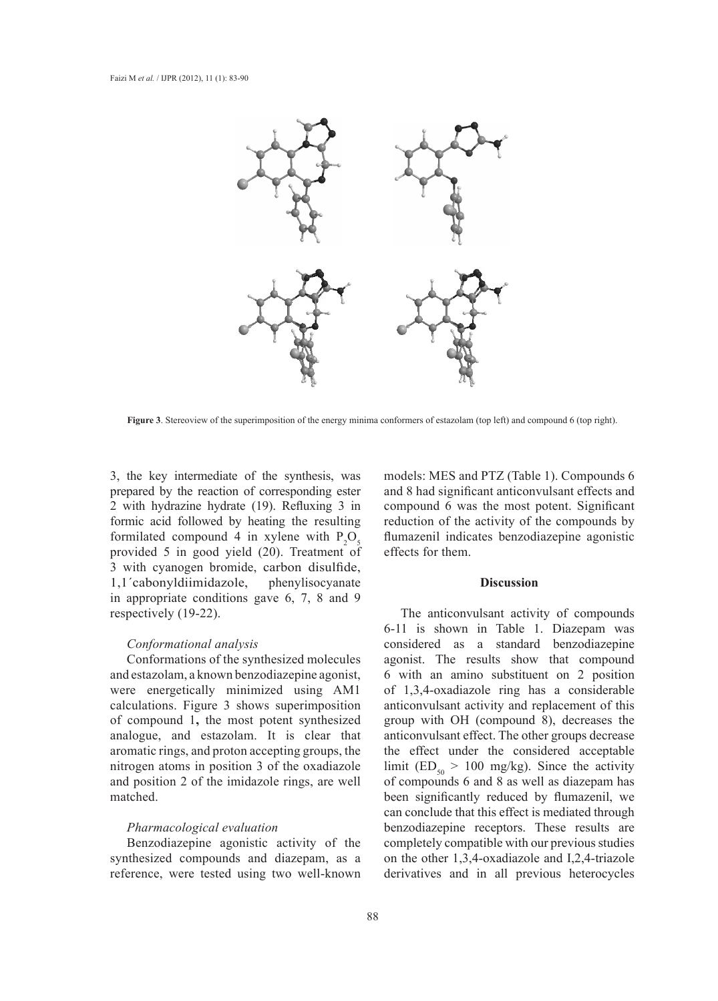

**Figure 3**. Stereoview of the superimposition of the energy minima conformers of estazolam (top left) and compound 6 (top right).

3, the key intermediate of the synthesis, was prepared by the reaction of corresponding ester 2 with hydrazine hydrate (19). Refluxing 3 in formic acid followed by heating the resulting formilated compound 4 in xylene with  $P_2O_5$ provided 5 in good yield (20). Treatment of 3 with cyanogen bromide, carbon disulfide, 1,1´cabonyldiimidazole, phenylisocyanate in appropriate conditions gave 6, 7, 8 and 9 respectively (19-22).

#### *Conformational analysis*

Conformations of the synthesized molecules and estazolam, a known benzodiazepine agonist, were energetically minimized using AM1 calculations. Figure 3 shows superimposition of compound 1**,** the most potent synthesized analogue, and estazolam. It is clear that aromatic rings, and proton accepting groups, the nitrogen atoms in position 3 of the oxadiazole and position 2 of the imidazole rings, are well matched.

### *Pharmacological evaluation*

Benzodiazepine agonistic activity of the synthesized compounds and diazepam, as a reference, were tested using two well-known models: MES and PTZ (Table 1). Compounds 6 and 8 had significant anticonvulsant effects and compound 6 was the most potent. Significant reduction of the activity of the compounds by flumazenil indicates benzodiazepine agonistic effects for them.

### **Discussion**

The anticonvulsant activity of compounds 6-11 is shown in Table 1. Diazepam was considered as a standard benzodiazepine agonist. The results show that compound 6 with an amino substituent on 2 position of 1,3,4-oxadiazole ring has a considerable anticonvulsant activity and replacement of this group with OH (compound 8), decreases the anticonvulsant effect. The other groups decrease the effect under the considered acceptable limit (ED<sub>50</sub> > 100 mg/kg). Since the activity of compounds 6 and 8 as well as diazepam has been significantly reduced by flumazenil, we can conclude that this effect is mediated through benzodiazepine receptors. These results are completely compatible with our previous studies on the other 1,3,4-oxadiazole and I,2,4-triazole derivatives and in all previous heterocycles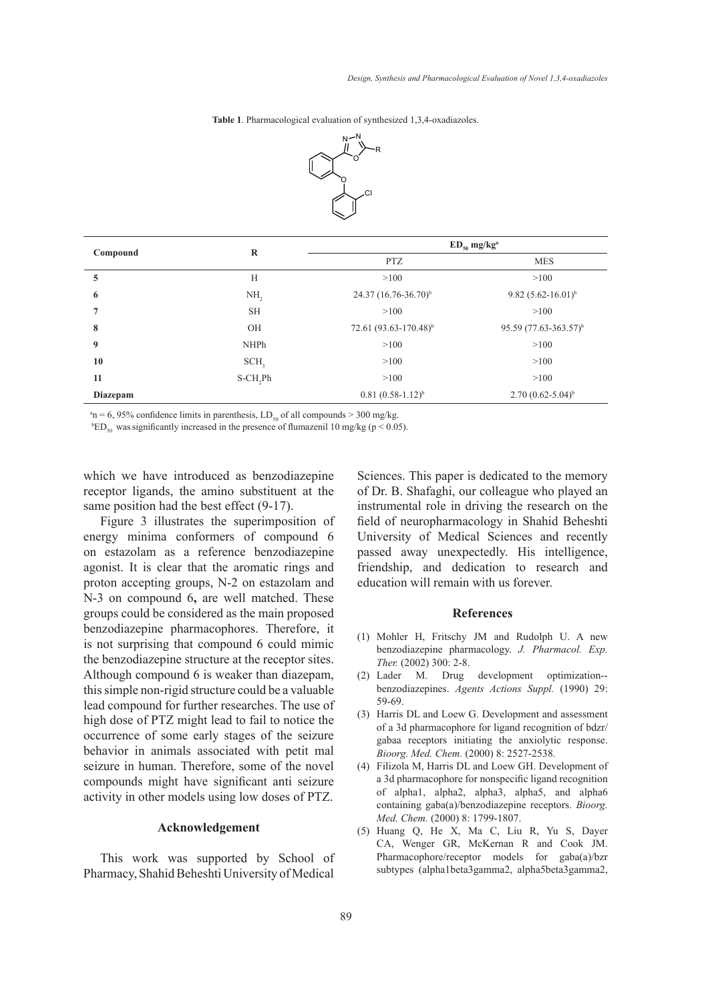**Table 1**. Pharmacological evaluation of synthesized 1,3,4-oxadiazoles. **Table 1**. Pharmacological evaluation of synthesized 1,3,4-oxadiazoles.



| Compound         | $\bf{R}$            | $ED_{50}$ mg/kg <sup>a</sup>     |                                   |
|------------------|---------------------|----------------------------------|-----------------------------------|
|                  |                     | <b>PTZ</b>                       | <b>MES</b>                        |
| 5                | H                   | >100                             | >100                              |
| 6                | NH,                 | 24.37 (16.76-36.70) <sup>b</sup> | 9.82 $(5.62 - 16.01)^{b}$         |
| 7                | <b>SH</b>           | >100                             | >100                              |
| 8                | OH                  | 72.61 $(93.63 - 170.48)^{b}$     | 95.59 (77.63-363.57) <sup>b</sup> |
| $\boldsymbol{9}$ | <b>NHPh</b>         | >100                             | >100                              |
| 10               | SCH <sub>2</sub>    | >100                             | >100                              |
| 11               | S-CH <sub>,Ph</sub> | >100                             | >100                              |
| Diazepam         |                     | $0.81(0.58-1.12)^{b}$            | $2.70(0.62 - 5.04)^{b}$           |

<sup>a</sup>n = 6, 95% confidence limits in parenthesis, LD<sub>50</sub> of all compounds > 300 mg/kg.

<sup>b</sup>ED<sub>50</sub> was significantly increased in the presence of flumazenil 10 mg/kg (p < 0.05).

which we have introduced as benzodiazepine receptor ligands, the amino substituent at the same position had the best effect (9-17).

Figure 3 illustrates the superimposition of energy minima conformers of compound 6 on estazolam as a reference benzodiazepine agonist. It is clear that the aromatic rings and proton accepting groups, N-2 on estazolam and N-3 on compound 6**,** are well matched. These groups could be considered as the main proposed benzodiazepine pharmacophores. Therefore, it is not surprising that compound 6 could mimic the benzodiazepine structure at the receptor sites. Although compound 6 is weaker than diazepam, this simple non-rigid structure could be a valuable lead compound for further researches. The use of high dose of PTZ might lead to fail to notice the occurrence of some early stages of the seizure behavior in animals associated with petit mal seizure in human. Therefore, some of the novel compounds might have significant anti seizure activity in other models using low doses of PTZ.

#### **Acknowledgement**

This work was supported by School of Pharmacy, Shahid Beheshti University of Medical Sciences. This paper is dedicated to the memory of Dr. B. Shafaghi, our colleague who played an instrumental role in driving the research on the field of neuropharmacology in Shahid Beheshti University of Medical Sciences and recently passed away unexpectedly. His intelligence, friendship, and dedication to research and education will remain with us forever.

#### **References**

- (1) Mohler H, Fritschy JM and Rudolph U. A new benzodiazepine pharmacology. *J. Pharmacol. Exp. Ther.* (2002) 300: 2-8.
- development optimization-benzodiazepines. *Agents Actions Suppl.* (1990) 29: 59-69. (2) Lader M. Drug
- (3) Harris DL and Loew G. Development and assessment of a 3d pharmacophore for ligand recognition of bdzr/ gabaa receptors initiating the anxiolytic response. *Bioorg. Med. Chem.* (2000) 8: 2527-2538.
- Filizola M, Harris DL and Loew GH. Development of (4) a 3d pharmacophore for nonspecific ligand recognition of alpha1, alpha2, alpha3, alpha5, and alpha6 containing gaba(a)/benzodiazepine receptors. *Bioorg. Med. Chem.* (2000) 8: 1799-1807.
- (5) Huang Q, He X, Ma C, Liu R, Yu S, Dayer CA, Wenger GR, McKernan R and Cook JM. Pharmacophore/receptor models for gaba(a)/bzr subtypes (alpha1beta3gamma2, alpha5beta3gamma2,